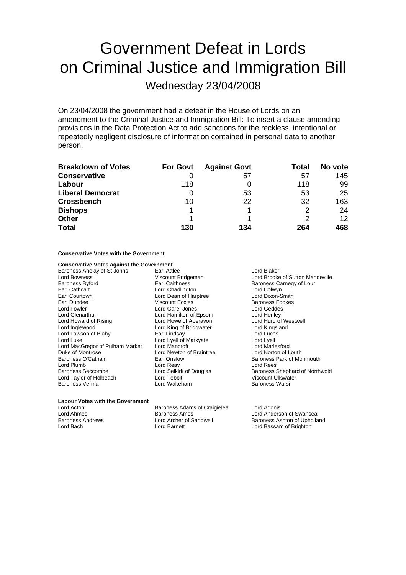# Government Defeat in Lords on Criminal Justice and Immigration Bill

Wednesday 23/04/2008

On 23/04/2008 the government had a defeat in the House of Lords on an amendment to the Criminal Justice and Immigration Bill: To insert a clause amending provisions in the Data Protection Act to add sanctions for the reckless, intentional or repeatedly negligent disclosure of information contained in personal data to another person.

| <b>Breakdown of Votes</b> | <b>For Govt</b> | <b>Against Govt</b> | Total | No vote         |
|---------------------------|-----------------|---------------------|-------|-----------------|
| <b>Conservative</b>       |                 | 57                  | 57    | 145             |
| Labour                    | 118             |                     | 118   | 99              |
| <b>Liberal Democrat</b>   |                 | 53                  | 53    | 25              |
| <b>Crossbench</b>         | 10              | 22                  | 32    | 163             |
| <b>Bishops</b>            |                 |                     | 2     | 24              |
| <b>Other</b>              |                 |                     | 2     | 12 <sup>°</sup> |
| <b>Total</b>              | 130             | 134                 | 264   | 468             |

#### **Conservative Votes with the Government**

#### **Conservative Votes against the Government**

Baroness Anelay of St Johns Earl Attlee **Earl Attack Constructs** Lord Blaker Baroness Byford **Earl Caithness** Earl Caithness Carnegy of Lour<br>
Earl Cathcart **Earl Catholic Collect Collect Carnegy of Lour**<br>
Lord Colwyn Earl Courtown **Lord Dean of Harptree** Earl Dundee Viscount Eccles Baroness Fookes Lord Fowler Lord Garel-Jones Lord Geddes Lord Howard of Rising **Lord Howe of Aberavon** Lord Hurd of Westwell Aberavon<br>
Lord Inglewood **Lord King of Bridgwater** Lord Kingsland Lord Lawson of Blaby Earl Lindsay Lord Luca<br>
Lord Luke Lord Lucas<br>
Lord Lucas Lord Lucas Lord Luke **Lord Lyell of Markyate** Lord MacGregor of Pulham Market Lord Mancroft Cord Mancroft Lord Marlesford<br>
Lord Nontrose Lord Newton of Braintree Lord Norton of Louth Duke of Montrose **Lord Newton of Braintree**<br> **Baroness O'Cathain** Earl Onslow Lord Plumb Lord Reay Lord Rees Lord Taylor of Holbeach Lord Tebbit Lord Tebbit Viscount Ullswater<br>
Raroness Verma Lord Wakeham Raroness Warsi Baroness Verma

Lord Chadlington Lord Colwyn<br>
Lord Dean of Harptree Lord Dixon-Smith Lord Hamilton of Epsom Lord Henley<br>
Lord Howe of Aberavon Lord Hurd of Westwell Lord King of Bridgwater Lord Kingsland Lord Kingsland Lord Kingsland Lord Lucas

Lord Bowness<br>
Example Saroness Botord<br>
Example Saroness Association Care Carriers Carriers Baroness Carneav of Lour<br>
Baroness Botord Baroness Park of Monmouth Baroness Seccombe **Lord Selkirk of Douglas** Baroness Shephard of Northwold<br>
Lord Taylor of Holbeach **Baroness** Lord Tebbit **Martias Communist Control** Viscount Ullswater

### **Labour Votes with the Government**

Lord Acton Baroness Adams of Craigielea Lord Adonis Lord Ahmed **Baroness Amos**<br>
Baroness Andrews **Baroness Anderson Constructs Anders**<br>
Baroness Andrews **Lord Archer of Sandwell** Baroness Ashton of Upholla Lord Bach Lord Barnett Lord Bassam of Brighton

Baroness Ashton of Upholland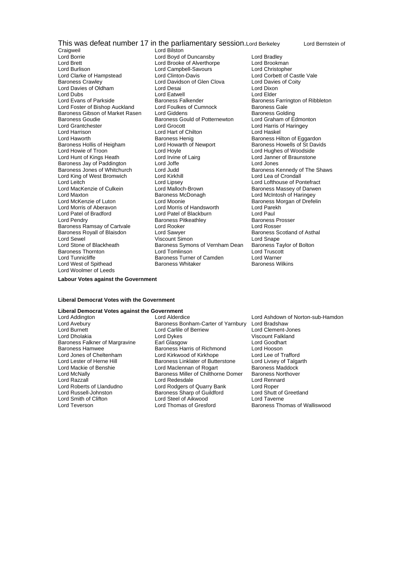## This was defeat number 17 in the parliamentary session.Lord Berkeley Lord Bernstein of<br>Lord Bilston

Craigweil Lord Bilston<br>
Lord Borrie **Lord Boyd**<br>
Lord Boyd o Lord Burlison<br>
Lord Clarke of Hampstead<br>
Lord Clinton-Davis Lord Dubs<br>
Lord Evans of Parkside<br>
Baroness Falkender Baroness Gibson of Market Rasen Lord Giddens<br>Baroness Goudie Baroness Gould of Potternewton Lord Harrison **Lord Hart of Chilton**<br>
Lord Haworth **Contains Container Container Baroness Henig** Baroness Hollis of Heigham Baroness Jay of Paddington Lord Joffe<br>Baroness Jones of Whitchurch Lord Judd Lord King of West Bromwich Lord Kirkhill<br>
Lord Leitch Lord Lipsey Lord Tunnicliffe Baroness Turner of Camden Lord Warner Lord West of Spithead Lord Woolmer of Leeds

Lord Borrie Lord Boyd of Duncansby Lord Bradley Lord Brett Lord Brooke of Alverthorpe Lord Brookman Baroness Crawley **Communist Crawley** Lord Davidson of Glen Clova Lord Davies Lord Davies Lord Dixon<br>
Lord Davies of Oldham Lord Desai Lord Desai Lord Davies of Oldham Lord Desai Lord Dixon<br>
Lord Dubs Lord Dixon<br>
Lord Dubs Lord Elder Lord Foster of Bishop Auckland Lord Foulkes of Cumnock Baroness Gale<br>
Baroness Gibson of Market Rasen Lord Giddens Collaing Baroness Goudie<br>
Baroness Gould of Potternewton Lord Graham of Edmonton<br>
Lord Grantchester Lord Grocott Lord Harris of Haringey Lord Grantchester Lord Grocott Lord Harris of Haringey Baroness Henig<br>
Lord Howarth of Newport<br>
Baroness Howells of St Davids Lord Howie of Troon **Lord Hoyle** Lord Hoyle **Lord Hughes of Woodside**<br>
Lord Hunt of Kings Heath **Lord Lord Lord Lairg** Lord Janner of Braunstone Lord Irvine of Lairg<br>
Lord Jones<br>
Lord Jones Lord Judd<br>
Lord Kirkhill **Baroness Kennedy of The Shaws**<br>
Lord Lea of Crondall Lord Leitch Lord Lipsey Lord Lofthouse of Pontefract Lord Maxton **Communist Communist Communist Communist Communist Communist Communist Communist Communist Communist Communist Communist Communist Communist Communist Communist Communist Communist Communist Communist Communist** Lord McKenzie of Luton Lord Moonie<br>
Lord Morris of Aberavon Lord Morris of Handsworth Lord Parekh<br>
Lord Morris of Aberavon Lord Morris of Handsworth Lord Parekh Lord Morris of Aberavon Lord Morris of Handsworth Lord Parel<br>
Lord Patel of Bradford Lord Patel of Blackburn Lord Paul Lord Patel of Bradford<br>
Lord Patel of Blackburn Lord Paul<br>
Lord Paul Baroness Prosser Baroness Prosser Baroness Pitkeathley Baroness Ramsay of Cartvale Lord Rooker Constitution Construction Corp. Lord Rosser<br>Baroness Rovall of Blaisdon Lord Sawver Constitution Baroness Scotland of Asthal Baroness Royall of Blaisdon Lord Sawyer Baroness Scotland Scotland Christian Baroness Scotland Spane<br>Baroness Royall of Asthala Spane (Baroness Scotland Spane Baroness Scotland Spane Lord Sewel **Communist Communist Communist Communist Communist Communist Communist Communist Communist Communist Communist Communist Communist Communist Communist Communist Communist Communist Communist Communist Communist** Baroness Symons of Vernham Dean Baroness Tay<br>Lord Tomlinson Lord Truscott Baroness Thornton **Example 2** Lord Tomlinson **Lord Truscott** Lord Truscott Lord Truscott Baroness Turner of Camden

Lord Corbett of Castle Vale<br>Lord Davies of Coity Baroness Farrington of Ribbleton **Extract Cultum**<br>Baroness Massey of Darwen

**Labour Votes against the Government**

#### **Liberal Democrat Votes with the Government**

## **Liberal Democrat Votes against the Government**

Lord Burnett Lord Carlile of Berriew Lord Clement-Jones Lord Smith of Clifton Lord Steel of Aikwood<br>
Lord Teverson Lord Thomas of Gresford

Lord Avebury **Baroness Bonham-Carter of Yarnbury** Lord Bradshaw<br>Lord Burnett **Baroness Bonham-Carter of Yarnbury** Lord Clement-Jones Lord Dykes Viscount Falkland<br>
Earl Glasgow 
Lord Goodhart Baroness Falkner of Margravine Earl Glasgow **Earl Conditation** Lord Goodhart<br>Baroness Hamwee Baroness Harris of Richmond Lord Hooson Baroness Harris of Richmond Lord Hooson<br>
Lord Kirkwood of Kirkhope Lord Lee of Trafford Lord Jones of Cheltenham Lord Kirkwood of Kirkhope Lord Lee of Trafford Baroness Linklater of Butterstone Lord Mackie of Benshie **Lord Maclennan of Rogart** Baroness Maddock<br>Lord McNally **Communist Baroness Miller of Chilthorne Domer** Baroness Northover Lord McNally Baroness Miller of Chilthorne Domer Baroness Northover Lord Razzall **Channel Cord Redesdale** Lord Rennard Lord Rennard Lord Rennard Lord Rennard Lord Rennard Lord Renna<br>Lord Roberts of Llandudno **Lord Robert Lord Robert Cord Robert Cord Robert Cord Robert Cord Robert Cord Robe** Lord Roberts of Llandudno<br>
Lord Russell-Johnston 
Lord Russell and Lord Shutt of Greetland

Lord Russell and Shutt of Greetland

Lord Russell and Lord Shutt of Greetland

Lord Russell and Lord Shutt of Greetland

Lord Shut Lord Russell-Johnston **Baroness Sharp of Guildford** Lord Shutt of Clifton Lord Shutt of Clifton Lord Shutt of Creetland Cord Shutt of Clifton Lord Shutt of Lord Shutt of Lord Shutt of Lord Shutt of Lord Shutt of Lord Shutt

Lord Ashdown of Norton-sub-Hamdon Baroness Thomas of Walliswood